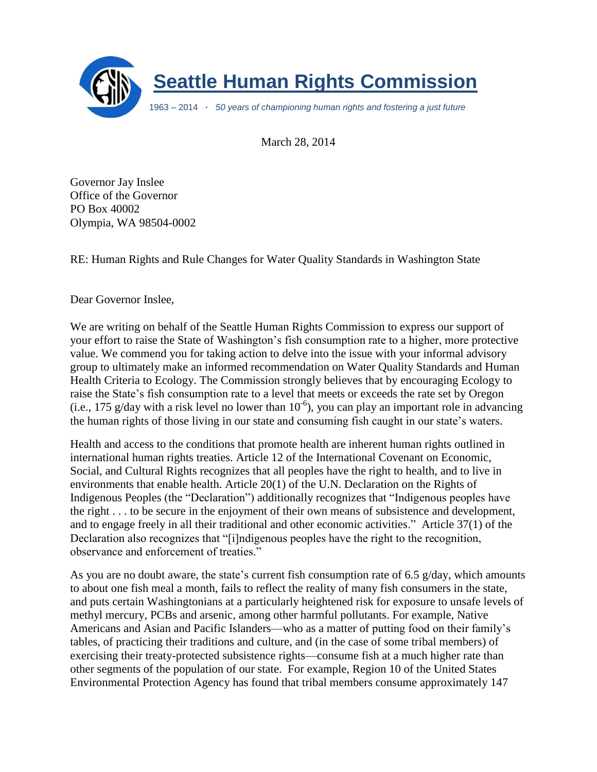

March 28, 2014

Governor Jay Inslee Office of the Governor PO Box 40002 Olympia, WA 98504-0002

RE: Human Rights and Rule Changes for Water Quality Standards in Washington State

Dear Governor Inslee,

We are writing on behalf of the Seattle Human Rights Commission to express our support of your effort to raise the State of Washington's fish consumption rate to a higher, more protective value. We commend you for taking action to delve into the issue with your informal advisory group to ultimately make an informed recommendation on Water Quality Standards and Human Health Criteria to Ecology. The Commission strongly believes that by encouraging Ecology to raise the State's fish consumption rate to a level that meets or exceeds the rate set by Oregon  $(i.e., 175 g/day with a risk level no lower than  $10^{-6}$ ), you can play an important role in advancing$ the human rights of those living in our state and consuming fish caught in our state's waters.

Health and access to the conditions that promote health are inherent human rights outlined in international human rights treaties. Article 12 of the International Covenant on Economic, Social, and Cultural Rights recognizes that all peoples have the right to health, and to live in environments that enable health. Article 20(1) of the U.N. Declaration on the Rights of Indigenous Peoples (the "Declaration") additionally recognizes that "Indigenous peoples have the right . . . to be secure in the enjoyment of their own means of subsistence and development, and to engage freely in all their traditional and other economic activities." Article 37(1) of the Declaration also recognizes that "[i]ndigenous peoples have the right to the recognition, observance and enforcement of treaties."

As you are no doubt aware, the state's current fish consumption rate of 6.5 g/day, which amounts to about one fish meal a month, fails to reflect the reality of many fish consumers in the state, and puts certain Washingtonians at a particularly heightened risk for exposure to unsafe levels of methyl mercury, PCBs and arsenic, among other harmful pollutants. For example, Native Americans and Asian and Pacific Islanders—who as a matter of putting food on their family's tables, of practicing their traditions and culture, and (in the case of some tribal members) of exercising their treaty-protected subsistence rights—consume fish at a much higher rate than other segments of the population of our state. For example, Region 10 of the United States Environmental Protection Agency has found that tribal members consume approximately 147